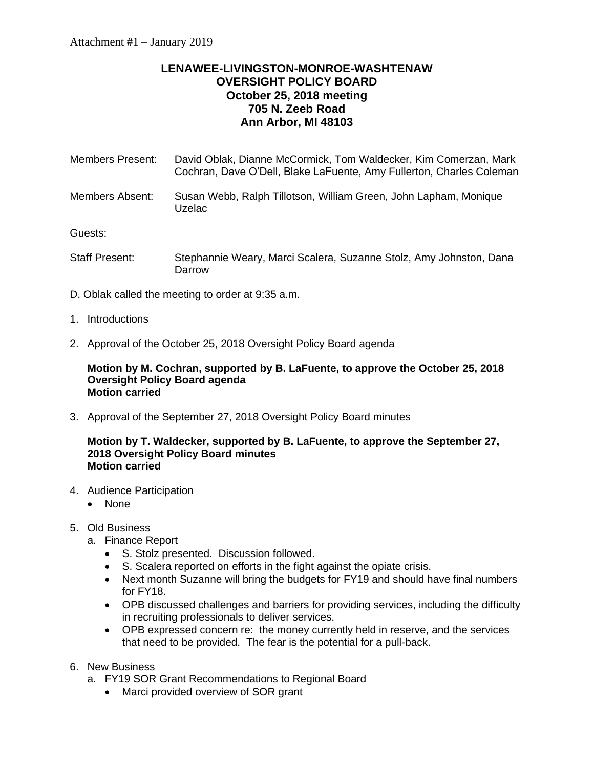# **LENAWEE-LIVINGSTON-MONROE-WASHTENAW OVERSIGHT POLICY BOARD October 25, 2018 meeting 705 N. Zeeb Road Ann Arbor, MI 48103**

| <b>Members Present:</b> | David Oblak, Dianne McCormick, Tom Waldecker, Kim Comerzan, Mark<br>Cochran, Dave O'Dell, Blake LaFuente, Amy Fullerton, Charles Coleman |
|-------------------------|------------------------------------------------------------------------------------------------------------------------------------------|
| Members Absent:         | Susan Webb, Ralph Tillotson, William Green, John Lapham, Monique<br><b>Uzelac</b>                                                        |
| Guests:                 |                                                                                                                                          |
| <b>Staff Present:</b>   | Stephannie Weary, Marci Scalera, Suzanne Stolz, Amy Johnston, Dana<br>Darrow                                                             |

- D. Oblak called the meeting to order at 9:35 a.m.
- 1. Introductions
- 2. Approval of the October 25, 2018 Oversight Policy Board agenda

**Motion by M. Cochran, supported by B. LaFuente, to approve the October 25, 2018 Oversight Policy Board agenda Motion carried**

3. Approval of the September 27, 2018 Oversight Policy Board minutes

# **Motion by T. Waldecker, supported by B. LaFuente, to approve the September 27, 2018 Oversight Policy Board minutes Motion carried**

- 4. Audience Participation
	- None
- 5. Old Business
	- a. Finance Report
		- S. Stolz presented. Discussion followed.
		- S. Scalera reported on efforts in the fight against the opiate crisis.
		- Next month Suzanne will bring the budgets for FY19 and should have final numbers for FY18.
		- OPB discussed challenges and barriers for providing services, including the difficulty in recruiting professionals to deliver services.
		- OPB expressed concern re: the money currently held in reserve, and the services that need to be provided. The fear is the potential for a pull-back.
- 6. New Business
	- a. FY19 SOR Grant Recommendations to Regional Board
		- Marci provided overview of SOR grant